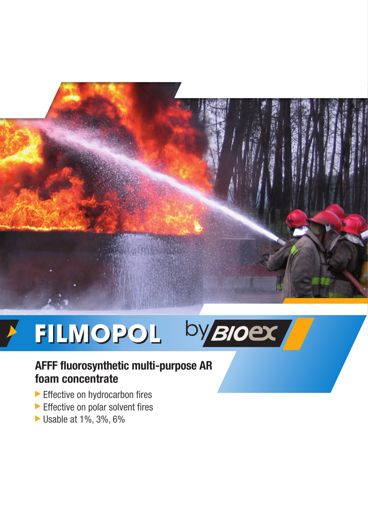

# by Bloex FILMOPOL

# **AFFF fluorosynthetic multi-purpose AR foam concentrate**

- Effective on hydrocarbon fires
- Effective on polar solvent fires
- Usable at 1%, 3%, 6%